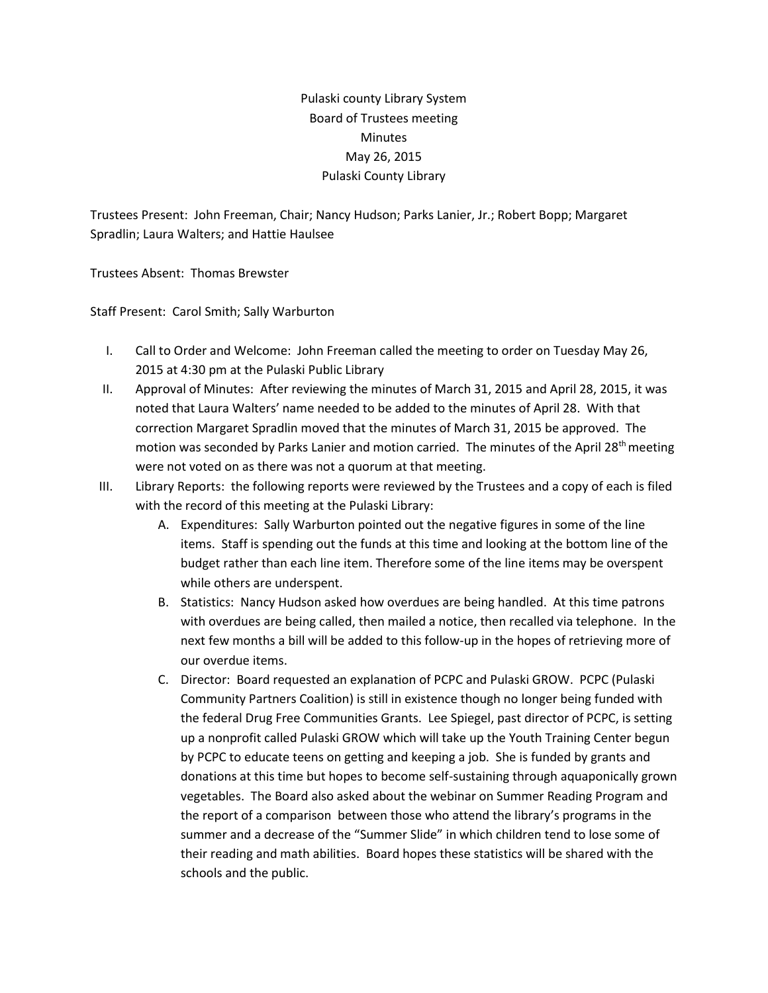## Pulaski county Library System Board of Trustees meeting **Minutes** May 26, 2015 Pulaski County Library

Trustees Present: John Freeman, Chair; Nancy Hudson; Parks Lanier, Jr.; Robert Bopp; Margaret Spradlin; Laura Walters; and Hattie Haulsee

Trustees Absent: Thomas Brewster

Staff Present: Carol Smith; Sally Warburton

- I. Call to Order and Welcome: John Freeman called the meeting to order on Tuesday May 26, 2015 at 4:30 pm at the Pulaski Public Library
- II. Approval of Minutes: After reviewing the minutes of March 31, 2015 and April 28, 2015, it was noted that Laura Walters' name needed to be added to the minutes of April 28. With that correction Margaret Spradlin moved that the minutes of March 31, 2015 be approved. The motion was seconded by Parks Lanier and motion carried. The minutes of the April 28<sup>th</sup> meeting were not voted on as there was not a quorum at that meeting.
- III. Library Reports: the following reports were reviewed by the Trustees and a copy of each is filed with the record of this meeting at the Pulaski Library:
	- A. Expenditures: Sally Warburton pointed out the negative figures in some of the line items. Staff is spending out the funds at this time and looking at the bottom line of the budget rather than each line item. Therefore some of the line items may be overspent while others are underspent.
	- B. Statistics: Nancy Hudson asked how overdues are being handled. At this time patrons with overdues are being called, then mailed a notice, then recalled via telephone. In the next few months a bill will be added to this follow-up in the hopes of retrieving more of our overdue items.
	- C. Director: Board requested an explanation of PCPC and Pulaski GROW. PCPC (Pulaski Community Partners Coalition) is still in existence though no longer being funded with the federal Drug Free Communities Grants. Lee Spiegel, past director of PCPC, is setting up a nonprofit called Pulaski GROW which will take up the Youth Training Center begun by PCPC to educate teens on getting and keeping a job. She is funded by grants and donations at this time but hopes to become self-sustaining through aquaponically grown vegetables. The Board also asked about the webinar on Summer Reading Program and the report of a comparison between those who attend the library's programs in the summer and a decrease of the "Summer Slide" in which children tend to lose some of their reading and math abilities. Board hopes these statistics will be shared with the schools and the public.